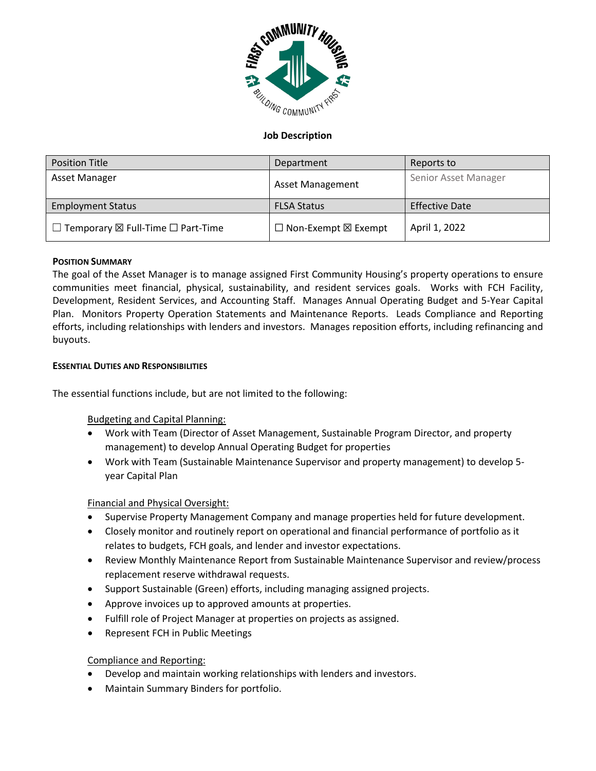

# **Job Description**

| <b>Position Title</b>                                   | Department                           | Reports to            |
|---------------------------------------------------------|--------------------------------------|-----------------------|
| Asset Manager                                           | <b>Asset Management</b>              | Senior Asset Manager  |
| <b>Employment Status</b>                                | <b>FLSA Status</b>                   | <b>Effective Date</b> |
| $\Box$ Temporary $\boxtimes$ Full-Time $\Box$ Part-Time | $\Box$ Non-Exempt $\boxtimes$ Exempt | April 1, 2022         |

## **POSITION SUMMARY**

The goal of the Asset Manager is to manage assigned First Community Housing's property operations to ensure communities meet financial, physical, sustainability, and resident services goals. Works with FCH Facility, Development, Resident Services, and Accounting Staff. Manages Annual Operating Budget and 5-Year Capital Plan. Monitors Property Operation Statements and Maintenance Reports. Leads Compliance and Reporting efforts, including relationships with lenders and investors. Manages reposition efforts, including refinancing and buyouts.

### **ESSENTIAL DUTIES AND RESPONSIBILITIES**

The essential functions include, but are not limited to the following:

## Budgeting and Capital Planning:

- Work with Team (Director of Asset Management, Sustainable Program Director, and property management) to develop Annual Operating Budget for properties
- Work with Team (Sustainable Maintenance Supervisor and property management) to develop 5 year Capital Plan

## Financial and Physical Oversight:

- Supervise Property Management Company and manage properties held for future development.
- Closely monitor and routinely report on operational and financial performance of portfolio as it relates to budgets, FCH goals, and lender and investor expectations.
- Review Monthly Maintenance Report from Sustainable Maintenance Supervisor and review/process replacement reserve withdrawal requests.
- Support Sustainable (Green) efforts, including managing assigned projects.
- Approve invoices up to approved amounts at properties.
- Fulfill role of Project Manager at properties on projects as assigned.
- Represent FCH in Public Meetings

## Compliance and Reporting:

- Develop and maintain working relationships with lenders and investors.
- Maintain Summary Binders for portfolio.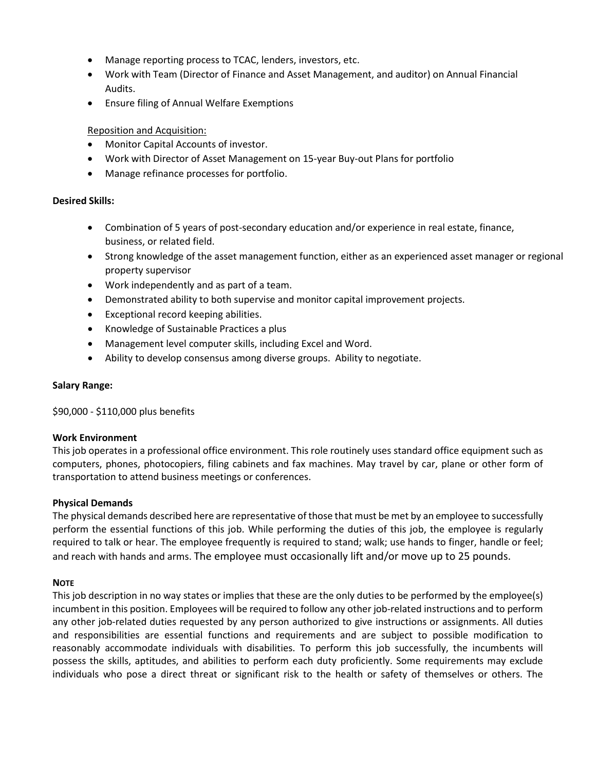- Manage reporting process to TCAC, lenders, investors, etc.
- Work with Team (Director of Finance and Asset Management, and auditor) on Annual Financial Audits.
- Ensure filing of Annual Welfare Exemptions

# Reposition and Acquisition:

- Monitor Capital Accounts of investor.
- Work with Director of Asset Management on 15-year Buy-out Plans for portfolio
- Manage refinance processes for portfolio.

## **Desired Skills:**

- Combination of 5 years of post-secondary education and/or experience in real estate, finance, business, or related field.
- Strong knowledge of the asset management function, either as an experienced asset manager or regional property supervisor
- Work independently and as part of a team.
- Demonstrated ability to both supervise and monitor capital improvement projects.
- Exceptional record keeping abilities.
- Knowledge of Sustainable Practices a plus
- Management level computer skills, including Excel and Word.
- Ability to develop consensus among diverse groups. Ability to negotiate.

### **Salary Range:**

\$90,000 - \$110,000 plus benefits

### **Work Environment**

This job operates in a professional office environment. This role routinely uses standard office equipment such as computers, phones, photocopiers, filing cabinets and fax machines. May travel by car, plane or other form of transportation to attend business meetings or conferences.

### **Physical Demands**

The physical demands described here are representative of those that must be met by an employee to successfully perform the essential functions of this job. While performing the duties of this job, the employee is regularly required to talk or hear. The employee frequently is required to stand; walk; use hands to finger, handle or feel; and reach with hands and arms. The employee must occasionally lift and/or move up to 25 pounds.

### **NOTE**

This job description in no way states or implies that these are the only duties to be performed by the employee(s) incumbent in this position. Employees will be required to follow any other job-related instructions and to perform any other job-related duties requested by any person authorized to give instructions or assignments. All duties and responsibilities are essential functions and requirements and are subject to possible modification to reasonably accommodate individuals with disabilities. To perform this job successfully, the incumbents will possess the skills, aptitudes, and abilities to perform each duty proficiently. Some requirements may exclude individuals who pose a direct threat or significant risk to the health or safety of themselves or others. The